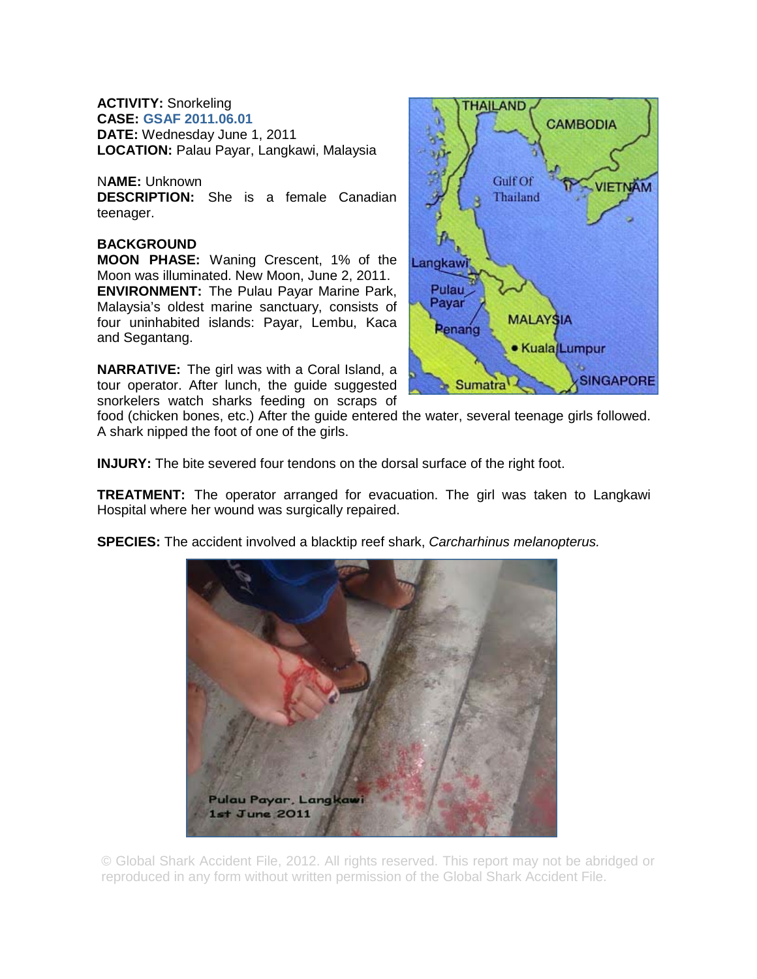**ACTIVITY:** Snorkeling **CASE: GSAF 2011.06.01 DATE:** Wednesday June 1, 2011 **LOCATION:** Palau Payar, Langkawi, Malaysia

N**AME:** Unknown **DESCRIPTION:** She is a female Canadian teenager.

## **BACKGROUND**

**MOON PHASE:** Waning Crescent, 1% of the Moon was illuminated. New Moon, June 2, 2011. **ENVIRONMENT:** The Pulau Payar Marine Park, Malaysia's oldest marine sanctuary, consists of four uninhabited islands: Payar, Lembu, Kaca and Segantang.

**NARRATIVE:** The girl was with a Coral Island, a tour operator. After lunch, the guide suggested snorkelers watch sharks feeding on scraps of



food (chicken bones, etc.) After the guide entered the water, several teenage girls followed. A shark nipped the foot of one of the girls.

**INJURY:** The bite severed four tendons on the dorsal surface of the right foot.

**TREATMENT:** The operator arranged for evacuation. The girl was taken to Langkawi Hospital where her wound was surgically repaired.

**SPECIES:** The accident involved a blacktip reef shark, *Carcharhinus melanopterus.* 

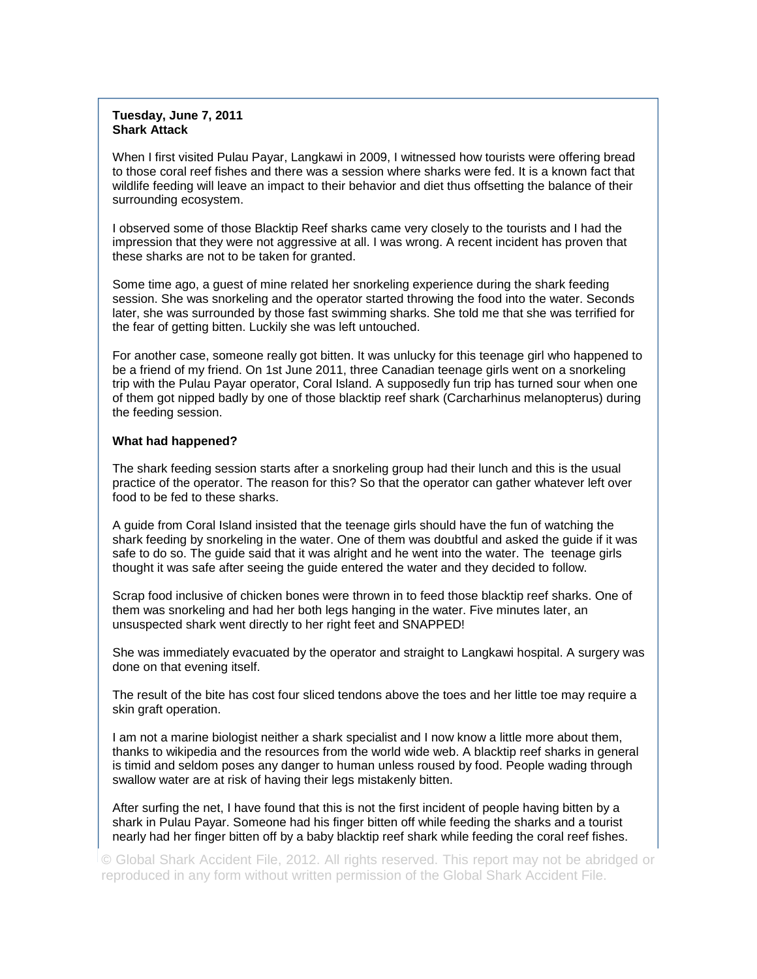## **Tuesday, June 7, 2011 Shark Attack**

When I first visited Pulau Payar, Langkawi in 2009, I witnessed how tourists were offering bread to those coral reef fishes and there was a session where sharks were fed. It is a known fact that wildlife feeding will leave an impact to their behavior and diet thus offsetting the balance of their surrounding ecosystem.

I observed some of those Blacktip Reef sharks came very closely to the tourists and I had the impression that they were not aggressive at all. I was wrong. A recent incident has proven that these sharks are not to be taken for granted.

Some time ago, a guest of mine related her snorkeling experience during the shark feeding session. She was snorkeling and the operator started throwing the food into the water. Seconds later, she was surrounded by those fast swimming sharks. She told me that she was terrified for the fear of getting bitten. Luckily she was left untouched.

For another case, someone really got bitten. It was unlucky for this teenage girl who happened to be a friend of my friend. On 1st June 2011, three Canadian teenage girls went on a snorkeling trip with the Pulau Payar operator, Coral Island. A supposedly fun trip has turned sour when one of them got nipped badly by one of those blacktip reef shark (Carcharhinus melanopterus) during the feeding session.

## **What had happened?**

The shark feeding session starts after a snorkeling group had their lunch and this is the usual practice of the operator. The reason for this? So that the operator can gather whatever left over food to be fed to these sharks.

A guide from Coral Island insisted that the teenage girls should have the fun of watching the shark feeding by snorkeling in the water. One of them was doubtful and asked the guide if it was safe to do so. The guide said that it was alright and he went into the water. The teenage girls thought it was safe after seeing the guide entered the water and they decided to follow.

Scrap food inclusive of chicken bones were thrown in to feed those blacktip reef sharks. One of them was snorkeling and had her both legs hanging in the water. Five minutes later, an unsuspected shark went directly to her right feet and SNAPPED!

She was immediately evacuated by the operator and straight to Langkawi hospital. A surgery was done on that evening itself.

The result of the bite has cost four sliced tendons above the toes and her little toe may require a skin graft operation.

I am not a marine biologist neither a shark specialist and I now know a little more about them, thanks to wikipedia and the resources from the world wide web. A blacktip reef sharks in general is timid and seldom poses any danger to human unless roused by food. People wading through swallow water are at risk of having their legs mistakenly bitten.

After surfing the net, I have found that this is not the first incident of people having bitten by a shark in Pulau Payar. Someone had his finger bitten off while feeding the sharks and a tourist nearly had her finger bitten off by a baby blacktip reef shark while feeding the coral reef fishes.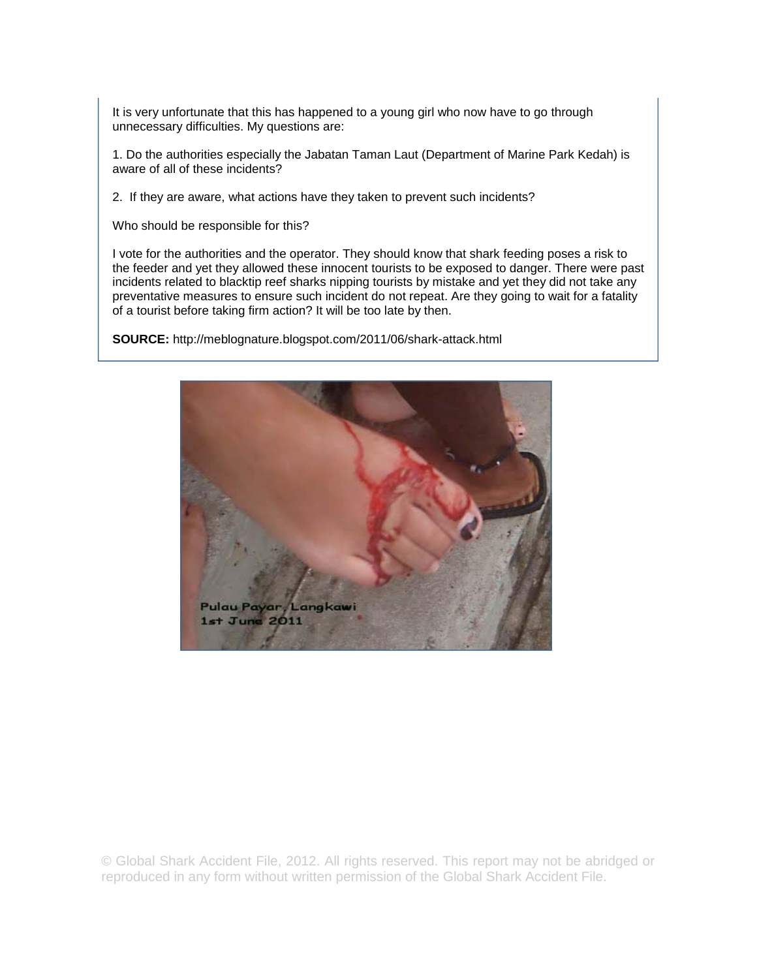It is very unfortunate that this has happened to a young girl who now have to go through unnecessary difficulties. My questions are:

1. Do the authorities especially the Jabatan Taman Laut (Department of Marine Park Kedah) is aware of all of these incidents?

2. If they are aware, what actions have they taken to prevent such incidents?

Who should be responsible for this?

I vote for the authorities and the operator. They should know that shark feeding poses a risk to the feeder and yet they allowed these innocent tourists to be exposed to danger. There were past incidents related to blacktip reef sharks nipping tourists by mistake and yet they did not take any preventative measures to ensure such incident do not repeat. Are they going to wait for a fatality of a tourist before taking firm action? It will be too late by then.

**SOURCE:** http://meblognature.blogspot.com/2011/06/shark-attack.html